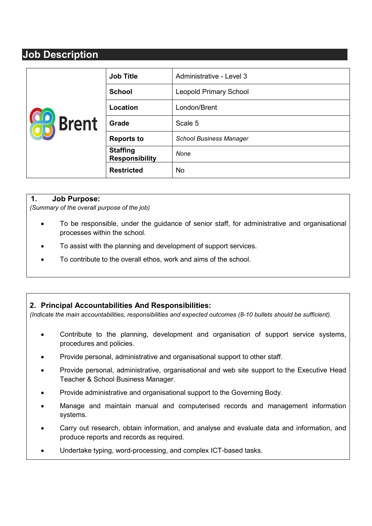## **Job Description**

| <b>OD</b> Brent | <b>Job Title</b>                         | Administrative - Level 3       |
|-----------------|------------------------------------------|--------------------------------|
|                 | <b>School</b>                            | <b>Leopold Primary School</b>  |
|                 | Location                                 | London/Brent                   |
|                 | Grade                                    | Scale 5                        |
|                 | <b>Reports to</b>                        | <b>School Business Manager</b> |
|                 | <b>Staffing</b><br><b>Responsibility</b> | None                           |
|                 | <b>Restricted</b>                        | No                             |

## **1. Job Purpose:**

*(Summary of the overall purpose of the job)* 

- To be responsible, under the guidance of senior staff, for administrative and organisational processes within the school.
- To assist with the planning and development of support services.
- To contribute to the overall ethos, work and aims of the school.

## **2. Principal Accountabilities And Responsibilities:**

*(Indicate the main accountabilities, responsibilities and expected outcomes (8-10 bullets should be sufficient).* 

- Contribute to the planning, development and organisation of support service systems, procedures and policies.
- Provide personal, administrative and organisational support to other staff.
- Provide personal, administrative, organisational and web site support to the Executive Head Teacher & School Business Manager.
- Provide administrative and organisational support to the Governing Body.
- Manage and maintain manual and computerised records and management information systems.
- Carry out research, obtain information, and analyse and evaluate data and information, and produce reports and records as required.
- Undertake typing, word-processing, and complex ICT-based tasks.